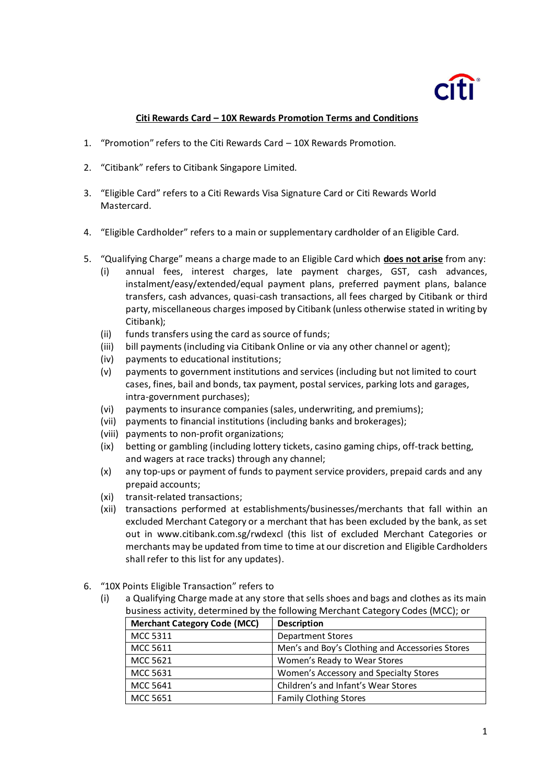## **Citi Rewards Card – 10X Rewards Promotion Terms and Conditions**

- 1. "Promotion" refers to the Citi Rewards Card 10X Rewards Promotion.
- 2. "Citibank" refers to Citibank Singapore Limited.
- 3. "Eligible Card" refers to a Citi Rewards Visa Signature Card or Citi Rewards World Mastercard.
- 4. "Eligible Cardholder" refers to a main or supplementary cardholder of an Eligible Card.
- 5. "Qualifying Charge" means a charge made to an Eligible Card which **does not arise** from any:
	- (i) annual fees, interest charges, late payment charges, GST, cash advances, instalment/easy/extended/equal payment plans, preferred payment plans, balance transfers, cash advances, quasi-cash transactions, all fees charged by Citibank or third party, miscellaneous charges imposed by Citibank (unless otherwise stated in writing by Citibank);
	- (ii) funds transfers using the card as source of funds;
	- (iii) bill payments (including via Citibank Online or via any other channel or agent);
	- (iv) payments to educational institutions;
	- (v) payments to government institutions and services (including but not limited to court cases, fines, bail and bonds, tax payment, postal services, parking lots and garages, intra-government purchases);
	- (vi) payments to insurance companies (sales, underwriting, and premiums);
	- (vii) payments to financial institutions (including banks and brokerages);
	- (viii) payments to non-profit organizations;
	- (ix) betting or gambling (including lottery tickets, casino gaming chips, off-track betting, and wagers at race tracks) through any channel;
	- (x) any top-ups or payment of funds to payment service providers, prepaid cards and any prepaid accounts;
	- (xi) transit-related transactions;
	- (xii) transactions performed at establishments/businesses/merchants that fall within an excluded Merchant Category or a merchant that has been excluded by the bank, as set out in www.citibank.com.sg/rwdexcl (this list of excluded Merchant Categories or merchants may be updated from time to time at our discretion and Eligible Cardholders shall refer to this list for any updates).
- 6. "10X Points Eligible Transaction" refers to
	- (i) a Qualifying Charge made at any store that sells shoes and bags and clothes as its main business activity, determined by the following Merchant Category Codes (MCC); or

| <b>Merchant Category Code (MCC)</b> | <b>Description</b>                              |  |  |  |
|-------------------------------------|-------------------------------------------------|--|--|--|
| MCC 5311                            | <b>Department Stores</b>                        |  |  |  |
| MCC 5611                            | Men's and Boy's Clothing and Accessories Stores |  |  |  |
| MCC 5621                            | Women's Ready to Wear Stores                    |  |  |  |
| MCC 5631                            | Women's Accessory and Specialty Stores          |  |  |  |
| MCC 5641                            | Children's and Infant's Wear Stores             |  |  |  |
| <b>MCC 5651</b>                     | <b>Family Clothing Stores</b>                   |  |  |  |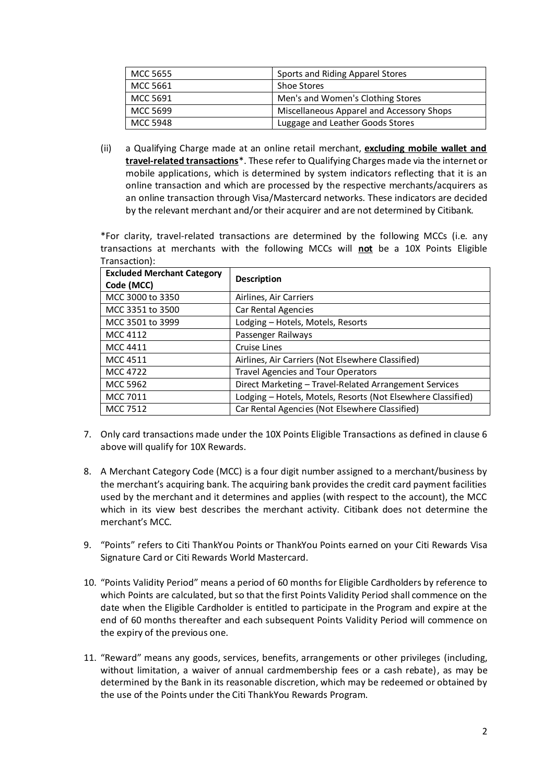| MCC 5655 | Sports and Riding Apparel Stores          |  |  |
|----------|-------------------------------------------|--|--|
| MCC 5661 | <b>Shoe Stores</b>                        |  |  |
| MCC 5691 | Men's and Women's Clothing Stores         |  |  |
| MCC 5699 | Miscellaneous Apparel and Accessory Shops |  |  |
| MCC 5948 | Luggage and Leather Goods Stores          |  |  |

(ii) a Qualifying Charge made at an online retail merchant, **excluding mobile wallet and travel-related transactions**\*. These refer to Qualifying Charges made via the internet or mobile applications, which is determined by system indicators reflecting that it is an online transaction and which are processed by the respective merchants/acquirers as an online transaction through Visa/Mastercard networks. These indicators are decided by the relevant merchant and/or their acquirer and are not determined by Citibank.

\*For clarity, travel-related transactions are determined by the following MCCs (i.e. any transactions at merchants with the following MCCs will **not** be a 10X Points Eligible Transaction):

| <b>Excluded Merchant Category</b><br>Code (MCC) | <b>Description</b>                                           |
|-------------------------------------------------|--------------------------------------------------------------|
| MCC 3000 to 3350                                | Airlines, Air Carriers                                       |
| MCC 3351 to 3500                                | Car Rental Agencies                                          |
| MCC 3501 to 3999                                | Lodging - Hotels, Motels, Resorts                            |
| MCC 4112                                        | Passenger Railways                                           |
| MCC 4411                                        | Cruise Lines                                                 |
| <b>MCC 4511</b>                                 | Airlines, Air Carriers (Not Elsewhere Classified)            |
| <b>MCC 4722</b>                                 | <b>Travel Agencies and Tour Operators</b>                    |
| MCC 5962                                        | Direct Marketing - Travel-Related Arrangement Services       |
| MCC 7011                                        | Lodging - Hotels, Motels, Resorts (Not Elsewhere Classified) |
| MCC 7512                                        | Car Rental Agencies (Not Elsewhere Classified)               |

- 7. Only card transactions made under the 10X Points Eligible Transactions as defined in clause 6 above will qualify for 10X Rewards.
- 8. A Merchant Category Code (MCC) is a four digit number assigned to a merchant/business by the merchant's acquiring bank. The acquiring bank provides the credit card payment facilities used by the merchant and it determines and applies (with respect to the account), the MCC which in its view best describes the merchant activity. Citibank does not determine the merchant's MCC.
- 9. "Points" refers to Citi ThankYou Points or ThankYou Points earned on your Citi Rewards Visa Signature Card or Citi Rewards World Mastercard.
- 10. "Points Validity Period" means a period of 60 months for Eligible Cardholders by reference to which Points are calculated, but so that the first Points Validity Period shall commence on the date when the Eligible Cardholder is entitled to participate in the Program and expire at the end of 60 months thereafter and each subsequent Points Validity Period will commence on the expiry of the previous one.
- 11. "Reward" means any goods, services, benefits, arrangements or other privileges (including, without limitation, a waiver of annual cardmembership fees or a cash rebate), as may be determined by the Bank in its reasonable discretion, which may be redeemed or obtained by the use of the Points under the Citi ThankYou Rewards Program.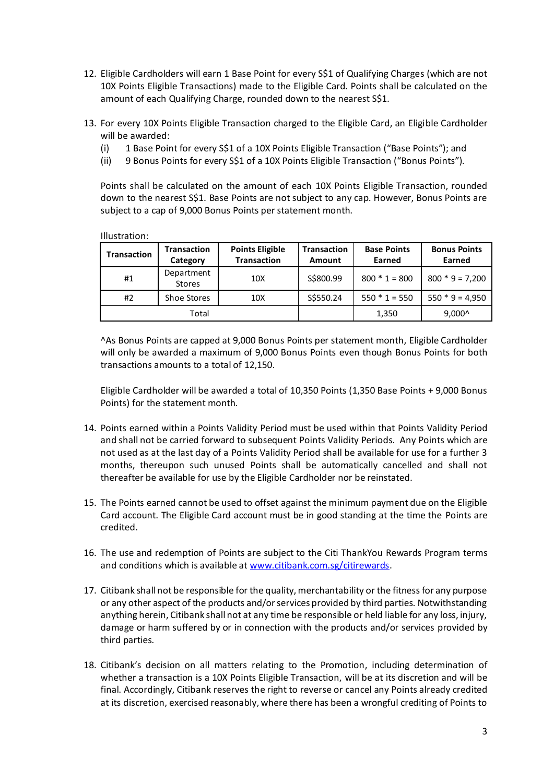- 12. Eligible Cardholders will earn 1 Base Point for every S\$1 of Qualifying Charges (which are not 10X Points Eligible Transactions) made to the Eligible Card. Points shall be calculated on the amount of each Qualifying Charge, rounded down to the nearest S\$1.
- 13. For every 10X Points Eligible Transaction charged to the Eligible Card, an Eligible Cardholder will be awarded:
	- (i) 1 Base Point for every S\$1 of a 10X Points Eligible Transaction ("Base Points"); and
	- (ii) 9 Bonus Points for every S\$1 of a 10X Points Eligible Transaction ("Bonus Points").

Points shall be calculated on the amount of each 10X Points Eligible Transaction, rounded down to the nearest S\$1. Base Points are not subject to any cap. However, Bonus Points are subject to a cap of 9,000 Bonus Points per statement month.

Illustration:

| <b>Transaction</b> | <b>Transaction</b><br>Category | <b>Points Eligible</b><br><b>Transaction</b> | <b>Transaction</b><br>Amount | <b>Base Points</b><br>Earned | <b>Bonus Points</b><br>Earned |
|--------------------|--------------------------------|----------------------------------------------|------------------------------|------------------------------|-------------------------------|
| #1                 | Department<br><b>Stores</b>    | 10X                                          | S\$800.99                    | $800 * 1 = 800$              | $800 * 9 = 7,200$             |
| #2                 | Shoe Stores                    | 10X                                          | S\$550.24                    | $550 * 1 = 550$              | $550 * 9 = 4,950$             |
|                    | Total                          |                                              |                              | 1,350                        | $9,000^{\circ}$               |

^As Bonus Points are capped at 9,000 Bonus Points per statement month, Eligible Cardholder will only be awarded a maximum of 9,000 Bonus Points even though Bonus Points for both transactions amounts to a total of 12,150.

Eligible Cardholder will be awarded a total of 10,350 Points (1,350 Base Points + 9,000 Bonus Points) for the statement month.

- 14. Points earned within a Points Validity Period must be used within that Points Validity Period and shall not be carried forward to subsequent Points Validity Periods. Any Points which are not used as at the last day of a Points Validity Period shall be available for use for a further 3 months, thereupon such unused Points shall be automatically cancelled and shall not thereafter be available for use by the Eligible Cardholder nor be reinstated.
- 15. The Points earned cannot be used to offset against the minimum payment due on the Eligible Card account. The Eligible Card account must be in good standing at the time the Points are credited.
- 16. The use and redemption of Points are subject to the Citi ThankYou Rewards Program terms and conditions which is available a[t www.citibank.com.sg/citirewards.](http://www.citibank.com.sg/citirewards)
- 17. Citibank shall not be responsible for the quality, merchantability or the fitness for any purpose or any other aspect of the products and/or services provided by third parties. Notwithstanding anything herein, Citibank shall not at any time be responsible or held liable for any loss, injury, damage or harm suffered by or in connection with the products and/or services provided by third parties.
- 18. Citibank's decision on all matters relating to the Promotion, including determination of whether a transaction is a 10X Points Eligible Transaction, will be at its discretion and will be final. Accordingly, Citibank reserves the right to reverse or cancel any Points already credited at its discretion, exercised reasonably, where there has been a wrongful crediting of Points to